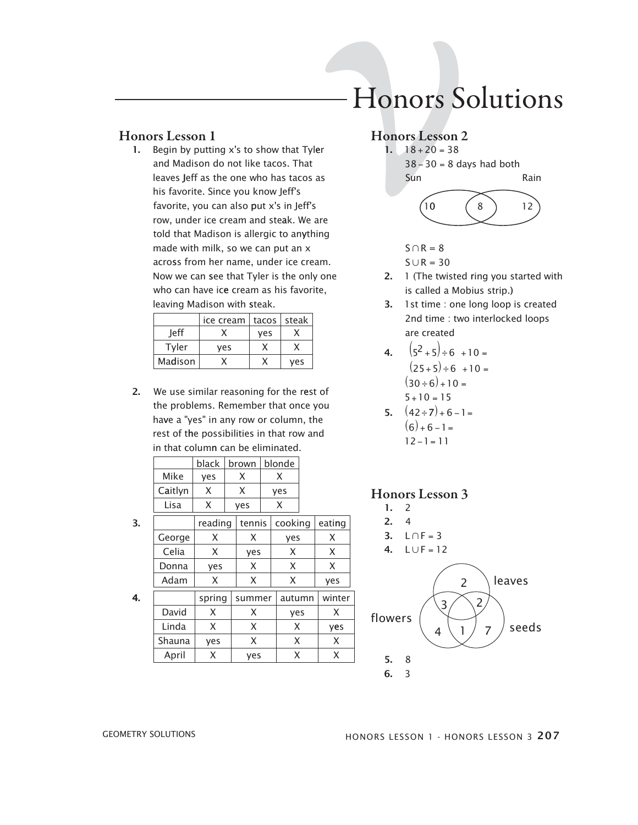1. Begin by putting  $x$ 's to show that Tyler and Madison do not like tacos. That leaves Jeff as the one who has tacos as his favorite. since you know Jeff's favorite, you can also put x's in Jeff's row, under ice cream and steak. We are told that madison is allergic to anything made with milk, so we can put an x across from her name, under ice cream. Now we can see that Tyler is the only one who can have ice cream as his favorite, leaving Madison with steak.

|         | ice cream |     | $tacos  $ steak |
|---------|-----------|-----|-----------------|
| leff    |           | yes |                 |
| Tyler   | yes       |     |                 |
| Madison |           |     | ves             |

2. We use similar reasoning for the rest of the problems. Remember that once you have a "yes" in any row or column, the rest of the possibilities in that row and in that column can be eliminated.

| black | brown | blonde |
|-------|-------|--------|
| yes   |       |        |
|       |       | yes    |
|       | yes   |        |
|       |       |        |

|  |  | reading   tennis   cooking   eating |  |
|--|--|-------------------------------------|--|
|  |  |                                     |  |

| George |        |        | yes    |      |
|--------|--------|--------|--------|------|
| Celia  |        | yes    | x      |      |
| Donna  | yes    | x      | x      |      |
| Adam   |        |        |        | ves  |
|        | spring | summer | autumn | wint |
|        |        |        |        |      |

**4.**  $\vert$  spring summer  $\vert$  autumn  $\vert$  winter David  $X \mid X$  yes  $X$ Linda X X X yes Shauna yes  $X \mid X$ X

April  $\vert$  X  $\vert$  yes  $\vert$  X  $\vert$  X

# Honors Solutions

#### Honors Lesson 2



 $S \cap R = 8$ 

$$
\mathsf{S}\cup\mathsf{R}=\mathsf{30}
$$

- 2. 1 (The twisted ring you started with is called a mobius strip.)
- 3. 1 st time : one long loop is created 2nd time : two interlocked loops are created

4. 
$$
(5^2 + 5) \div 6 + 10 =
$$
  
\n $(25 + 5) \div 6 + 10 =$   
\n $(30 \div 6) + 10 =$   
\n $5 + 10 = 15$ 

5. 
$$
(42 \div 7) + 6 - 1 =
$$
  
\n $(6) + 6 - 1 =$   
\n $12 - 1 = 11$ 

#### Honors Lesson 3

- 1. 2 2. 4
- 3.  $L \cap F = 3$
- 4.  $L \cup F = 12$



GEOMETRY SOLUTIONS **EXECUTE:** HONORS LESSON 1 - HONORS LESSON 3 207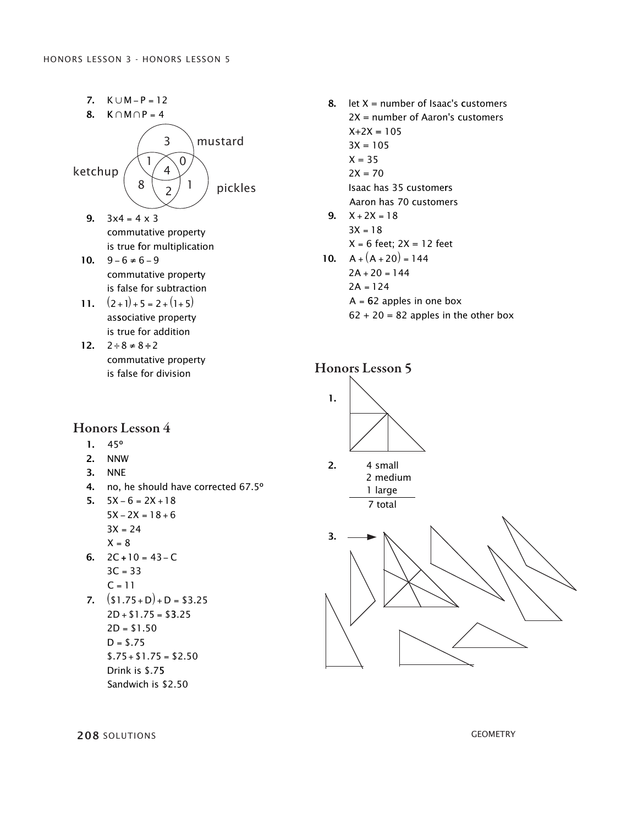

- 8. let  $X =$  number of Isaac's customers 2X = number of Aaron's customers  $X+2X = 105$  $3X = 105$  $X = 35$  $2X = 70$ isaac has 35 customers
- Aaron has 70 customers X = 6 feet; 2X = 12 feet  $9. \quad X + 2X = 18$  $3X = 18$
- 10.  $A + (A + 20) = 144$  $2A + 20 = 144$ 2A = 124 A = 62 apples in one box
- $62 + 20 = 82$  apples in the other box





- $3C = 33$  $C = 11$
- 7.  $(S1.75+D)+D = S3.25$  $2D + $1.75 = $3.25$  $2D = $1.50$  $D = $.75$  $$.75 + $1.75 = $2.50$ Drink is \$.75 sandwich is \$2.50

**208** solutions geometry  $30.50$  F 10  $^{\circ}$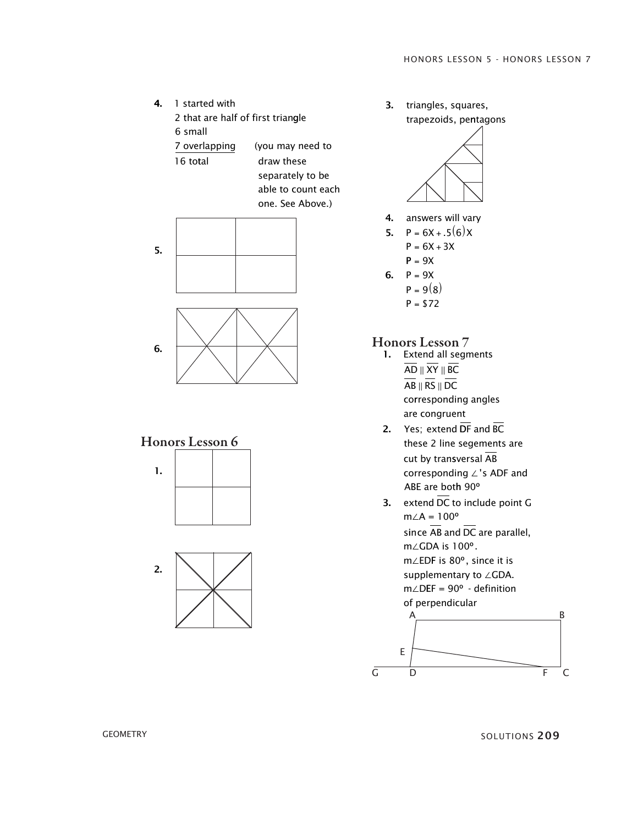





3. triangles, squares, trapezoids, pentagons



4. answers will vary

5. 
$$
P = 6X + .5(6)X
$$

$$
P = 6X + 3X
$$

$$
P = 9X
$$

- 6.  $P = 9X$ 
	- $P = 9(8)$
	- $P = $72$

# Honors Lesson 7

- 1. Extend all segments co rresponding angles AD  $\parallel$  XY  $\parallel$  BC AB  $\parallel$  RS  $\parallel$  DC are congruent
- 2. Yes; extend DF and BC these 2 line segements are cut by tran sversal AB corresponding ∠'s ADF and ABe are bot h 90 º
- **3.** extend DC to include point G  $m\angle A = 100^{\circ}$ s in ce AB and DC are parallel, m∠GDA is 100°. m∠EDF is 80°, since it is supplementary to ∠GDA.  $m\angle$ DEF = 90° - definition of perpendicular

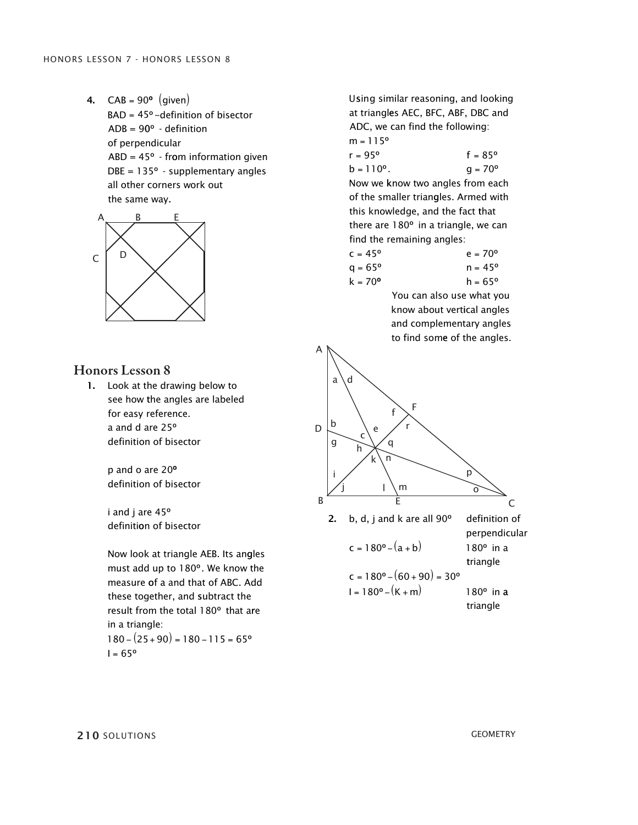**4.**  $CAB = 90^{\circ}$  (given)  $BAD = 45^{\circ}$  –definition of bisector  $ADB = 90^{\circ}$  - definition of perpendicular  $ABD = 45^{\circ}$  - from information given  $DBE = 135^{\circ}$  - supplementary angles all other corners work out the same way.



#### Honors Lesson 8

1. Look at the drawing below to see how the angles are labeled for easy reference. a and d are 25° definition of bisector

> p and o are 20 º definition of bisector

> º i and j are 45 definition of bisector

Now look at triangle AEB. Its angles must add up to 180°. We know the measure of a and that of ABC. Add these together, and subtract the result from the total 180° that are in a triangle:  $180 - (25 + 90) = 180 - 115 = 65^{\circ}$ l = 65°

Using similar reasoning, and looking at triangles AEC, BFC, ABF, DBC and ADC, we can find the following: m = 115°  $r = 95^{\circ}$  f =  $r = 95^{\circ}$  f = 85°

Now we know two angles from each  $b = 110^{\circ}$ .  $g = 70^{\circ}$  $110^{\circ}$ .  $g = 70^{\circ}$ of the smaller triangles. Armed with this knowledge, and the fact that there are 180° in a triangle, we can find the remaining angles:

| $c = 45^{\circ}$ | $e = 70^{\circ}$ |
|------------------|------------------|
| $q = 65^{\circ}$ | $n = 45^{\circ}$ |
| $k = 70^{\circ}$ | $h = 65^{\circ}$ |

You can also use what you know about vertical angles and complementary angles to find some of the angles.



**210** SOLUTIONS GEOMETRY  $\overline{O}$ .  $\overline{O}$ 

**GEOMETRY**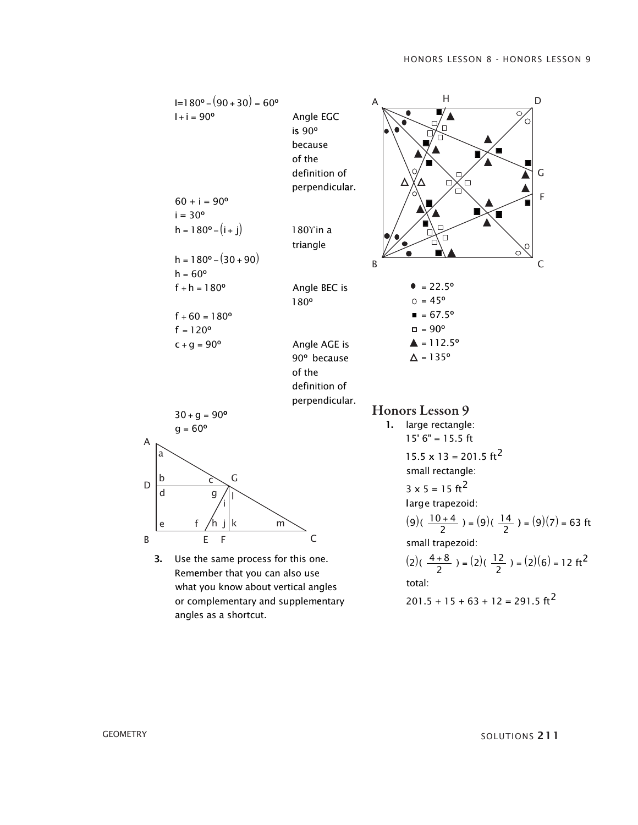

**GEOMETRY** SOLUTIONS 2 1 1  $50E0110M<sub>2</sub>E11$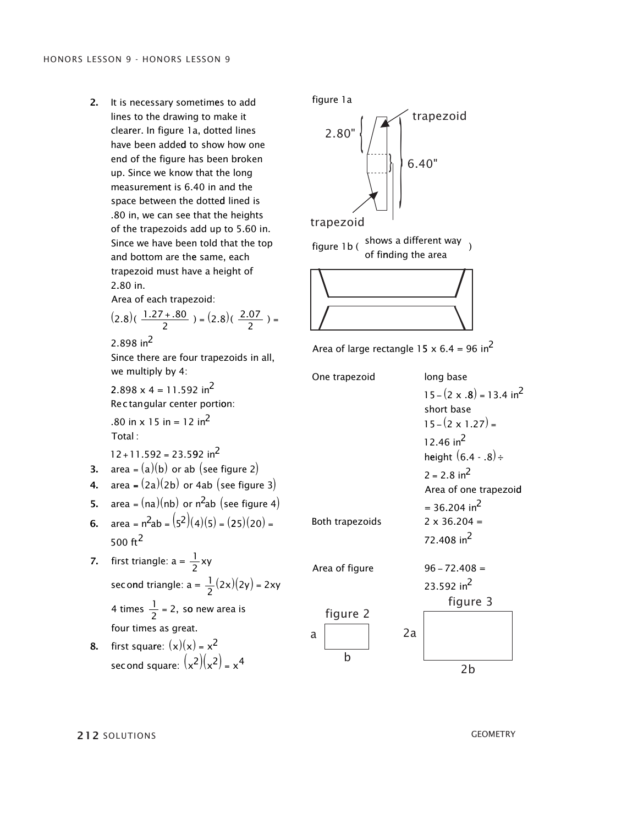2. it is necessary sometimes to add lines to the drawing to make it clearer. in figure 1a, dotted lines have been added to show how one end of the figure has been broken up. since we know that the long measurement is 6.40 in and the space between the dotted lined is . 80 in, we can see that the heights of the trapezoids add up to 5.60 in. Since we have been told that the top and bottom are the same, each trapezoid must have a height of 2.80 in.

Area of each trapezoid:

$$
(2.8)(\frac{1.27 + .80}{2}) = (2.8)(\frac{2.07}{2}) =
$$

2.898 in<sup>2</sup>

since there are four trapezoids in all, we multiply by 4:

2.898  $x$  4 = 11.592 in<sup>2</sup> Rec tan qular center portion:

.80 in  $\times$  15 in = 12 in<sup>2</sup> Total :

 $12 + 11.592 = 23.592$  in<sup>2</sup>

- **3.**  $\alpha$  area =  $(a)(b)$  or ab (see figure 2)
- 4.  $area = (2a)(2b)$  or 4ab (see figure 3)
- 5.  $area = (na)(nb)$  or  $n^2ab$  (see figure 4)
- **6.**  $\text{area} = n^2 \text{ab} = (5^2)(4)(5) = (25)(20) =$ 500 $ft^2$
- 7. first triangle:  $a = \frac{1}{2}xy$ sec ond triangle:  $a = \frac{1}{2}(2x)(2y) = 2xy$ 4 times  $\frac{1}{2}$  = 2, so new area is four times as great.

8. first square:  $(x)(x) = x^2$ sec ond square:  $(x^2)(x^2) = x^4$  figure 1a figure 1a figure 1a



trapezoid

figure 1b ( shows a different way )<br>of finding the area figure 1b ( $\frac{\text{shows a current way}}{\text{of finding the area}}$ )



| Area of large rectangle 15 x 6.4 = 96 in <sup>2</sup> |                                                                                                                                                         |
|-------------------------------------------------------|---------------------------------------------------------------------------------------------------------------------------------------------------------|
| One trapezoid                                         | long base<br>$15 - (2 \times .8) = 13.4$ in <sup>2</sup><br>short base<br>$15 - (2 \times 1.27) =$<br>12.46 in <sup>2</sup><br>height $(6.4 - .8) \div$ |
| Both trapezoids                                       | $2 = 2.8$ in <sup>2</sup><br>Area of one trapezoid<br>= 36.204 in <sup>2</sup><br>$2 \times 36.204 =$<br>72.408 in <sup>2</sup>                         |
| Area of figure                                        | $96 - 72.408 =$<br>23.592 in <sup>2</sup><br>figure 3                                                                                                   |
| figure 2<br>2a<br>а<br>h                              | 2b                                                                                                                                                      |

**212** solutions GEOMETRY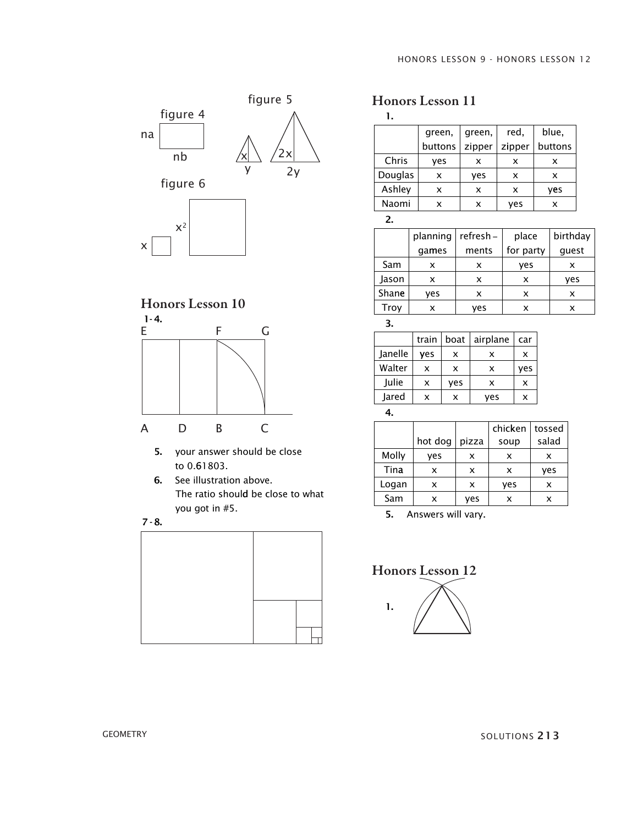



- 5. your answer should be close 5. your answer should be close to 0.61803. to 0.61803.
- 6. See illustration above. the ratio shoul d be close to what the ratio shoul d be close to what you got in #5. you got in #5.





# Honors Lesson 11

1.

|         | green,<br>green, |        | red,   | blue,   |
|---------|------------------|--------|--------|---------|
|         | buttons          | zipper | zipper | buttons |
| Chris   | yes              | x      | x      | x       |
| Douglas | x                | yes    | x      | x       |
| Ashley  | x                | x      | x      | yes     |
| Naomi   | x                | x      | ves    | x       |

2.

|       | planning | refresh – | place     | birthday |
|-------|----------|-----------|-----------|----------|
|       | games    | ments     | for party | quest    |
| Sam   | x        | x         | yes       | x        |
| Jason | x        | x         | x         | ves      |
| Shane | yes      | x         | x         | x        |
| Trov  |          | ves       |           |          |

3.

|         | train | boat | airplane | car |
|---------|-------|------|----------|-----|
| Janelle | yes   | x    | x        | x   |
| Walter  | x     | x    | x        | yes |
| Julie   | x     | ves  | x        | x   |
| Jared   | x     | x    | ves      | x   |
|         |       |      |          |     |

4.

|       |         |       | chicken | tossed |
|-------|---------|-------|---------|--------|
|       | hot dog | pizza | soup    | salad  |
| Molly | yes     | x     | x       | x      |
| Tina  | x       | x     | x       | ves    |
| Logan | x       | x     | yes     | x      |
| Sam   | x       | ves   | x       |        |

5. Answers will vary.

Honors Lesson 12

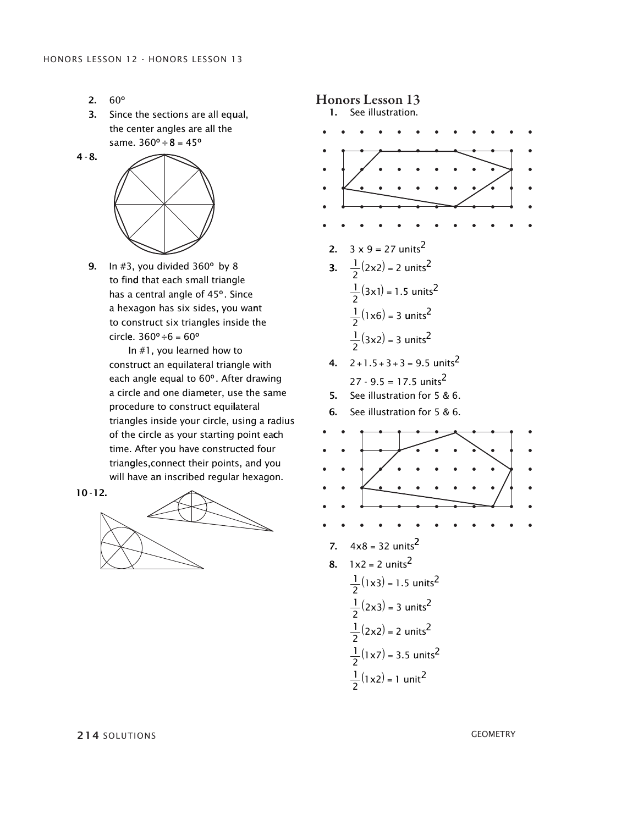2. 3. 3.  $60^{\circ}$ 

4 - 8.

3. Since the sections are all equal, the center angles are all the same.  $360^{\circ} \div 8 = 45^{\circ}$ 



to find that each small triangle has a central angle of 45°. Since a hexagon has six sides, you wa<mark>n</mark>t to construct six triangles inside the circle.  $360^{\circ} \div 6 = 60^{\circ}$ **9.** In  $\#3$ , you divided  $360^{\circ}$  by 8

> In #1, you learned how to construct an equilateral triangle with each angle equ<mark>a</mark>l to 60°. After drawing a circle and one diameter, use the same procedure to construct equilateral triangles inside your circle, using a <mark>r</mark>adius of the circle as your starting point ea**c**h time. After you have constructed four trian<mark>g</mark>les,connect their points, and you will have a<mark>n</mark> inscribed regular hexagon.







214 solutions Geometry Geometry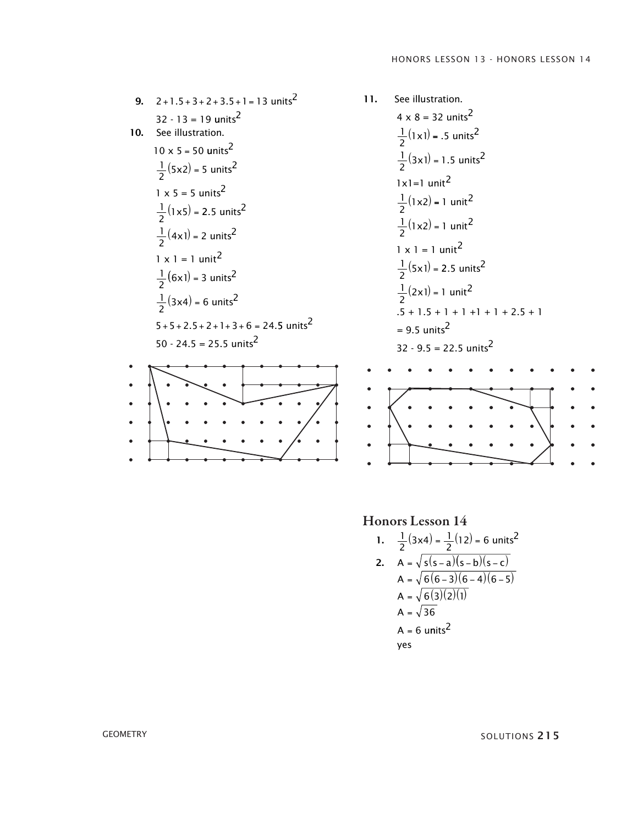9. 2+1.5+3+2+3.5+1=13 units<sup>2</sup>  
\n32 · 13 = 19 units<sup>2</sup>  
\n10. See illustration.  
\n10 x 5 = 50 units<sup>2</sup>  
\n
$$
\frac{1}{2}
$$
(5x2) = 5 units<sup>2</sup>  
\n1 x 5 = 5 units<sup>2</sup>  
\n $\frac{1}{2}$ (1x5) = 2.5 units<sup>2</sup>  
\n $\frac{1}{2}$ (4x1) = 2 units<sup>2</sup>  
\n1 x 1 = 1 unit<sup>2</sup>  
\n $\frac{1}{2}$ (6x1) = 3 units<sup>2</sup>  
\n $\frac{1}{2}$ (3x4) = 6 units<sup>2</sup>  
\n5+5+2.5+2+1+3+6 = 24.5 units<sup>2</sup>  
\n50 - 24.5 = 25.5 units<sup>2</sup>

11. See illustration.  
\n
$$
4 \times 8 = 32 \text{ units}^2
$$
  
\n $\frac{1}{2}(1\times1) = .5 \text{ units}^2$   
\n $\frac{1}{2}(3\times1) = 1.5 \text{ units}^2$   
\n $1\times1 = 1 \text{ unit}^2$   
\n $\frac{1}{2}(1\times2) = 1 \text{ unit}^2$   
\n $1 \times 1 = 1 \text{ unit}^2$   
\n $1 \times 1 = 1 \text{ unit}^2$   
\n $\frac{1}{2}(5\times1) = 2.5 \text{ units}^2$   
\n $\frac{1}{2}(2\times1) = 1 \text{ unit}^2$   
\n $.5 + 1.5 + 1 + 1 + 1 + 1 + 2.5 + 1$   
\n $= 9.5 \text{ units}^2$   
\n32 - 9.5 = 22.5 units<sup>2</sup>  
\n32 - 9.5 = 22.5 units<sup>2</sup>

1. 
$$
\frac{1}{2}(3\times4) = \frac{1}{2}(12) = 6 \text{ units}^2
$$
  
\n2.  $A = \sqrt{\frac{s(s-a)(s-b)(s-c)}{6(6-3)(6-4)(6-5)}}$   
\n $A = \sqrt{\frac{6(3)(2)(1)}{6}}$   
\n $A = \sqrt{36}$   
\n $A = 6 \text{ units}^2$   
\nyes

 $G$ ΕΟΜΕΤRΥ SOLUTIONS 2 1 5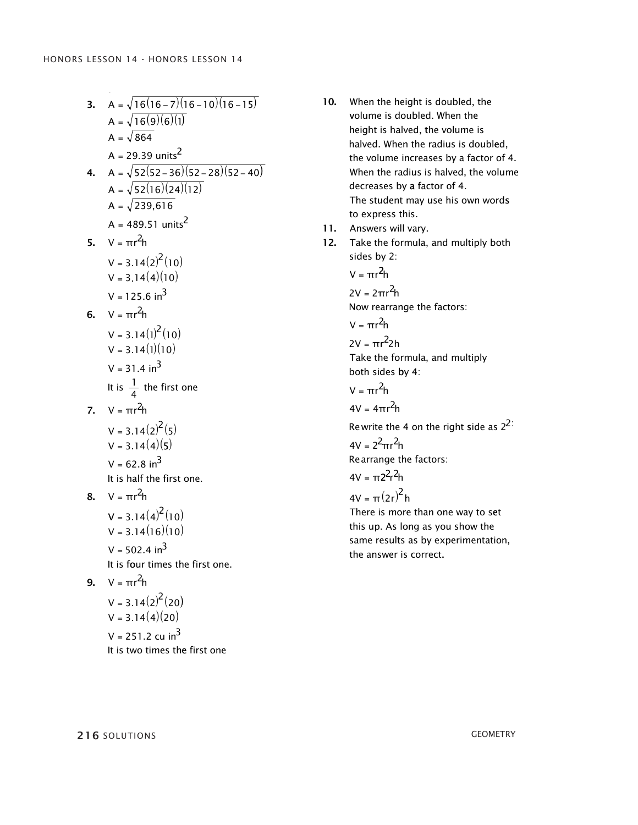yes

3. A = 
$$
\sqrt{16(16-7)(16-10)(16-15)}
$$
  
\nA =  $\sqrt{16(9)(6)(1)}$   
\nA =  $\sqrt{864}$   
\nA = 29.39 units<sup>2</sup>  
\n4. A =  $\sqrt{52(52-36)(52-28)(52-40)}$   
\nA =  $\sqrt{52(16)(24)(12)}$   
\nA =  $\sqrt{239,616}$   
\nA = 489.51 units<sup>2</sup>  
\n5. V =  $\pi$ r<sup>2</sup>h  
\nV = 3.14(2)<sup>2</sup>(10)  
\nV = 3.14(4)(10)  
\nV = 125.6 in<sup>3</sup>  
\n6. V =  $\pi$ r<sup>2</sup>h  
\nV = 3.14(1)<sup>2</sup>(10)  
\nV = 3.14(1)(10)  
\nV = 31.4 in<sup>3</sup>  
\nIt is  $\frac{1}{4}$  the first one  
\n7. V =  $\pi$ r<sup>2</sup>h  
\nV = 3.14(2)<sup>2</sup>(5)  
\nV = 3.14(4)(5)  
\nV = 62.8 in<sup>3</sup>  
\nIt is half the first one.  
\n8. V =  $\pi$ r<sup>2</sup>h  
\nV = 3.14(4)(10)  
\nV = 3.14(4)(10)  
\nV = 3.14(16)(10)  
\nV = 3.14(16)(10)  
\nV = 502.4 in<sup>3</sup>  
\nIt is four times the first one.  
\n9. V =  $\pi$ r<sup>2</sup>h  
\nV = 3.14(2)<sup>2</sup>(20)  
\nV = 3.14(4)(20)  
\nV = 251.2 cu in<sup>3</sup>  
\nIt is two times the first one.

- 10. When the height is doubled, the volume is doubled. When the volume is doubled. When the height is halved, the volume is halved. When the radius is doubled, halved. When the radius is doubled,the volume increases by a factor of 4. When the radius is halved, the volume When the radius is halved, the volumedecreases by a factor of 4. the student may use his own words the student may use his own words to express this.
- 11. Answers will vary.
- 12. Take the formula, and multiply both sides by 2: sides by 2:

$$
V=\pi r^2\!h
$$

2V = 2πr<sup>2</sup>h<br>Now rearrai<br>V = πr<sup>2</sup>h

Now rearrange the factors: = 2π<br><sup>,</sup> rea<br>πr<sup>2</sup>ł

$$
V = \pi r^2 h
$$

2V =  $\pi r^2$ 2h take the formula, and multiply take the formula, and multiply both sides by 4:

V =  $\pi r^2 h$ 

V = πr<sup>2</sup>h<br>4V = 4πr<sup>2</sup>h

V = πr<sup>2</sup>h<br>4V = 4πr<sup>2</sup>h<br>Rewrite the 4 on the right side as 2<sup>2:</sup>  $4V = 2^2 \pi r^2 h$ Rewrite the 4 on the right side as 2<sup>2:</sup><br>4V = 2<sup>2</sup>πr<sup>2</sup>h

Rearrange the factors:<br>4V = π2<sup>2</sup>r<sup>2</sup>h Rearrange tl<br>4V = π2<sup>2</sup>r<sup>2</sup>h 4V = π2<sup>2</sup>r<sup>2</sup>h<br>4V = π(2r)<sup>2</sup> h

4V = π(2r)<sup>c</sup>h<br>There is more than one way to set this up. As long as you show the same results as by experimentation, same results as by experimentation,the answer is correct.

**216** solutions geometry is the radius is the volume of  $\alpha$  shall be volume of  $\alpha$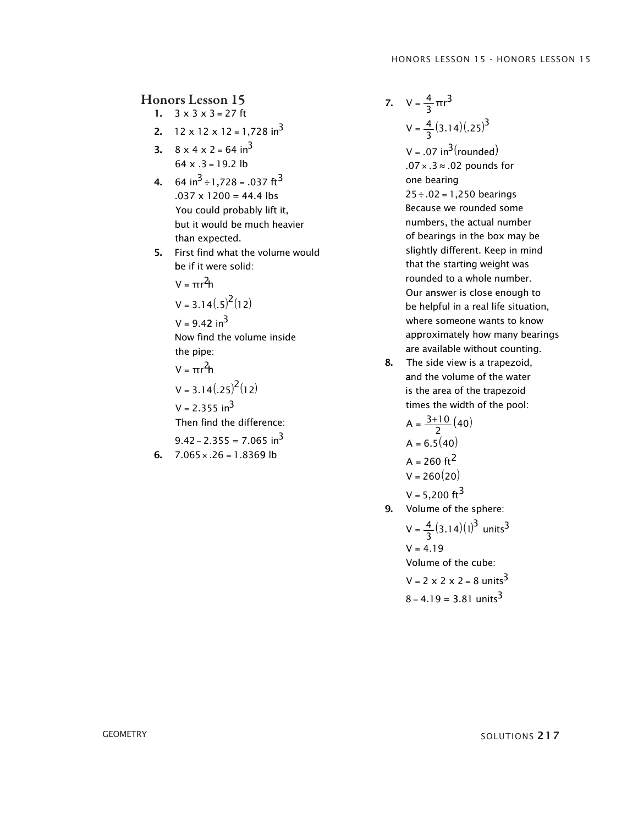- 1.  $3 \times 3 \times 3 = 27$  ft
- 2. 12 x 12 x 12 = 1,728 in<sup>3</sup>
- **3.**  $8 \times 4 \times 2 = 64 \text{ in}^3$  $64 \times .3 = 19.2$  lb
- **4.** 64 in<sup>3</sup> ÷ 1,728 = .037 ft<sup>3</sup>  $.037 \times 1200 = 44.4$  lbs You could probably lift it, but it would be much heavier than expected.
- 5. First find what the volume would be if it were solid:
	- $V = \pi r^2 h$

$$
V = 3.14(.5)^{2}(12)
$$

 $V = 9.42$  in<sup>3</sup>

Now find the volume inside the pipe:

V =  $\pi r^2 h$ 

$$
V = 3.14(.25)^{2}(12)
$$

 $V = 2.355$  in<sup>3</sup>

Then find the difference:

$$
9.42 - 2.355 = 7.065 \text{ in}^3
$$

**6.**  $7.065 \times .26 = 1.8369$  lb

4 3 7.  $V = \frac{4}{3} \pi r^3$  $V = \frac{4}{3}(3.14)(.25)^3$ 

> V =  $.07 \text{ in}^3(\text{rounded})$  $.07 \times .3 \approx .02$  pounds for  $25 \div .02 = 1,250$  bearings one bearing Because we rounded some numbers, the actual number of bearings in the box may be slightly different. Keep in mind that the starting weight was rounded to a whole number. Our answer is close enough to be helpful in a real life situation, where someone wants to know ap proximately how many bearings are available without counting.

8. The side view is a trapezoid. and the volume of the water is the area of the trapezoid times the width of the pool:

$$
A = \frac{3+10}{2} (40)
$$
  
\n
$$
A = 6.5 (40)
$$
  
\n
$$
A = 260 \text{ ft}^2
$$
  
\n
$$
V = 260 (20)
$$
  
\n
$$
V = 5,200 \text{ ft}^3
$$

9. Volume of the sphere:

$$
V = \frac{4}{3}(3.14)(1)^{3} \text{ units}^{3}
$$
  
V = 4.19  
Volume of the cube:  
V = 2 x 2 x 2 = 8 units<sup>3</sup>  
8 - 4.19 = 3.81 units<sup>3</sup>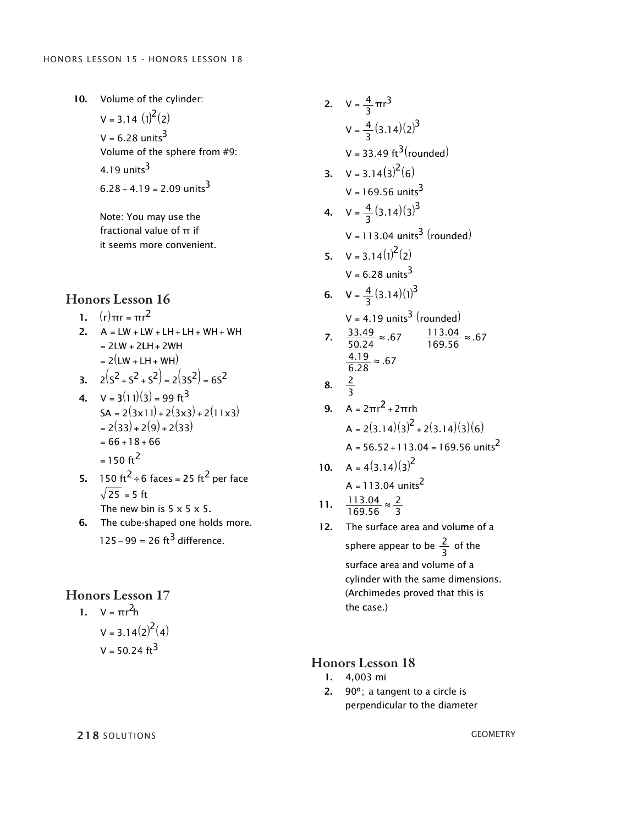10. Volume of the cylinder:  $V = 3.14 \cdot (1)^2(2)$  $V = 6.28$  units $^3$ Volume of the sphere from #9: 4.19 units<sup>3</sup>  $6.28 - 4.19 = 2.09$  units<sup>3</sup>

> Note: You may use the fractional value of  $\pi$  if it seems more convenient.

# Honors Lesson 16

1.  $(r)\pi r = \pi r^2$ 

2.  $A = LW + LW + LH + LH + WH + WH$  $= 2LW + 2LH + 2WH$  $= 2(LW + LH + WH)$  $\mathbf{r}$ 

3. 
$$
2(5^2 + 5^2 + 5^2) = 2(35^2) = 65^2
$$

4. 
$$
V = 3(11)(3) = 99 \text{ ft}^3
$$
  
\n
$$
SA = 2(3 \times 11) + 2(3 \times 3) + 2(11 \times 3)
$$
\n
$$
= 2(33) + 2(9) + 2(33)
$$
\n
$$
= 66 + 18 + 66
$$
\n
$$
= 150 \text{ ft}^2
$$

- **5.** 150 ft<sup>2</sup> ÷ 6 faces = 25 ft<sup>2</sup> per face  $25 = 5$  ft The new bin is  $5 \times 5 \times 5$ .
- 6. The cube-shaped one holds more.  $125 - 99 = 26 \text{ ft}^3 \text{ difference}.$

#### Honors Lesson 17

1. 
$$
V = \pi r^2 h
$$
  
\n $V = 3.14(2)^2(4)$   
\n $V = 50.24 \text{ ft}^3$ 

2.  $V = \frac{4}{3}$ 2.  $V = \frac{4}{3} \pi r^3$  $V = \frac{4}{3}(3.14)(2)^3$  $V = 33.49 \text{ ft}^3 \text{(rounded)}$ **3.**  $V = 3.14(3)^2(6)$  $V = 169.56 \text{ units}^3$ 4.  $V = \frac{4}{3} (3.14)(3)^3$  $V = 113.04 \text{ units}^3 \text{ (rounded)}$  $V = 6.28 \text{ units}^3$ **5.**  $V = 3.14(1)^{2}(2)$ 6.  $V = \frac{4}{3}(3.14)(1)^3$  $V = 4.19$  units<sup>3</sup> (rounded) 33 49 50 7.  $\frac{33.49}{50.24} \approx .67$   $\frac{113.04}{169.56} \approx .67$  $\frac{4.19}{6.28}$  ≈ .67 2 8.  $\frac{2}{3}$ **9.** A =  $2\pi r^2 + 2\pi rh$  $A = 2(3.14)(3)^2 + 2(3.14)(3)(6)$  $A = 56.52 + 113.04 = 169.56$  units<sup>2</sup> 10.  $A = 4(3.14)(3)^2$  $A = 113.04 \text{ units}^2$ 11.  $\frac{113.04}{153.56}$ 12. The surface area and volume of a 169 56 2 3  $\frac{.04}{.56} \approx$ sphere appear to be  $\frac{2}{3}$  of the surface area and volume of a surface area and volume of a cylinder with the same dimensions. cylinder with the same dimensions.  $\frac{4}{3}$ πr<sup>3</sup> = 4.  $V = \frac{4}{3} (3.14)(3)^3$ 50 7.  $\frac{33.49}{50.24} \approx .67$   $\frac{113.04}{169.56} \approx .67$  $\frac{3}{3}$ = 11.  $\frac{113.04}{169.56}$ 169 56  $\frac{2}{5}$ 3  $\frac{.04}{.56}$  ≈

#### Honors Lesson 18

the case.) the case.)

- 1. 4,003 mi
- 2. 90°; a tangent to a circle is perpendicular to the diameter

(Archimedes proved that this is (Archimedes proved that this is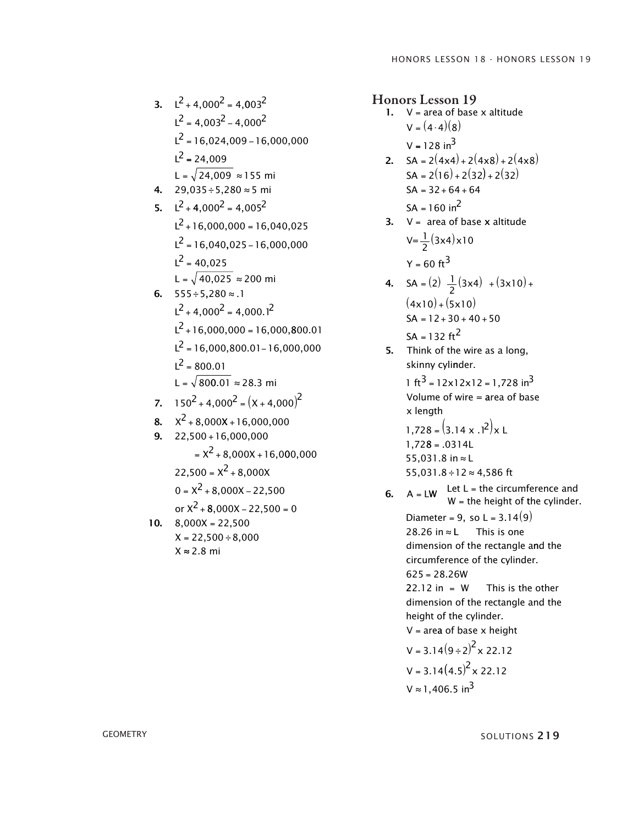3. 
$$
L^2 + 4,000^2 = 4,003^2
$$
  
\n $L^2 = 4,003^2 - 4,000^2$   
\n $L^2 = 16,024,009 - 16,000,000$   
\n $L^2 = 24,009$   
\n $L = \sqrt{24,009} \approx 155$  mi  
\n4. 29,035 ÷ 5,280 ≈ 5 mi  
\n5.  $L^2 + 4,000^2 = 4,005^2$   
\n $L^2 + 16,000,000 = 16,040,025$   
\n $L^2 = 16,040,025 - 16,000,000$   
\n $L^2 = 40,025$   
\n $L = \sqrt{40,025} \approx 200$  mi  
\n6. 555 ÷ 5,280 ≈ .1  
\n $L^2 + 16,000,000 = 16,000,800.01$   
\n $L^2 + 16,000,000 = 16,000,800.01$   
\n $L^2 = 16,000,800.01 - 16,000,000$   
\n $L^2 = 800.01$   
\n $L = \sqrt{800.01} \approx 28.3$  mi  
\n7. 150<sup>2</sup> + 4,000<sup>2</sup> = (X + 4,000)<sup>2</sup>  
\n8.  $X^2 + 8,000X + 16,000,000$   
\n9. 22,500 + 16,000,000  
\n22,500 =  $X^2 + 8,000X - 22,500$   
\nor  $X^2 + 8,000X - 22,500$   
\nor  $X^2 + 8,000X - 22,500$   
\nor  $X^2 + 8,000X - 22,500$   
\nX = 22,500 ÷ 8,000  
\nX ≈ 2.8 mi

- 1.  $V = area of base x altitude$  $V = 128$  in<sup>3</sup>  $V = (4 \cdot 4)(8)$ 2.  $SA = 2(4 \times 4) + 2(4 \times 8) + 2(4 \times 8)$  $SA = 2(16) + 2(32) + 2(32)$  $SA = 32 + 64 + 64$  $SA = 160$  in<sup>2</sup>
- **3.**  $V = \text{area of base } x \text{ altitude}$  $V = \frac{1}{2}(3x4)x10$  $Y = 60$  ft<sup>3</sup>
- 4.  $SA = (2) \frac{1}{2}(3x4) + (3x10) +$  $(4x10)+(5x10)$  $SA = 12 + 30 + 40 + 50$  $SA = 132 \text{ ft}^2$
- **5.** Think of the wire as a long, skinny cyli nder.

1 ft<sup>3</sup> = 12x12x12 = 1,728 in<sup>3</sup> Volume of wire = area of base x length

 $1,728 = (3.14 \times .1^2) \times L$  $1,728 = .0314L$ 55,031.8 in ≈ L 55,031.8 ÷ 12 ≈ 4,586 ft

6.  $A = LW$  Let L = the circumference and W = the height of **t**he cylinder.

Diameter = 9, so L =  $3.14(9)$ 28.26 in This is one dimension of the rectangle and the circumference of the cylinder.  $625 = 28.26W$ This is the other dimension of the rectangle and the 22.12 in =  $W$ height of the cylinder.  $V = area of base x height$  $V = 3.14(9 \div 2)^2 \times 22.12$ 

$$
V = 3.14(4.5)^{2} \times 22.12
$$
  
 
$$
V \approx 1,406.5 \text{ in}^{3}
$$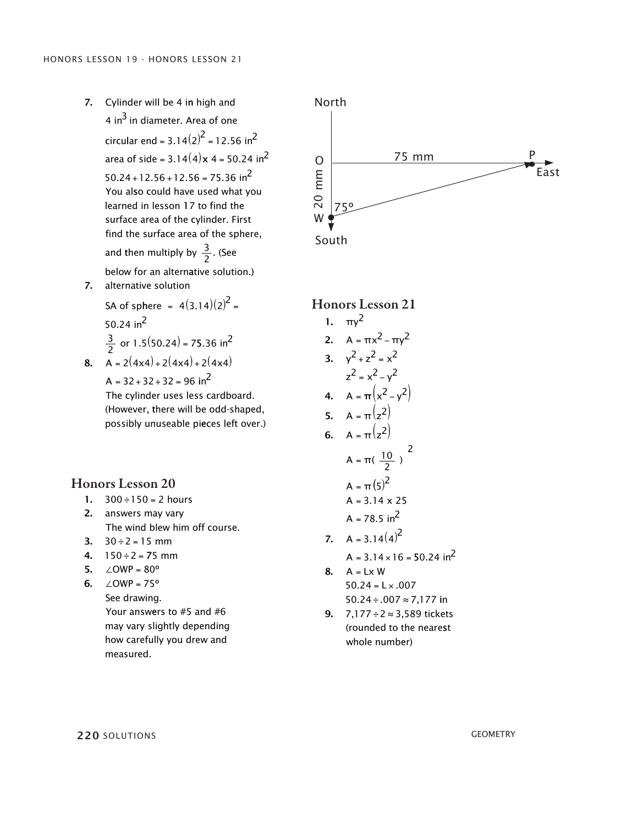7. Cylinder will be 4 in high and 4 in<sup>3</sup> in diameter. Area of one circular end =  $3.14(2)^2$  = 12.56 in<sup>2</sup> area of side = 3.14 $(4)$ x 4 = 50.24 in<sup>2</sup>  $50.24 + 12.56 + 12.56 = 75.36$  in<sup>2</sup> you al so could have used what you learned in lesson 17 to find the surface area of the cylinder. First find the surface area of the sphere, and then multiply by  $\frac{3}{2}$ . (See below for an altern ative solution.) 7. alternative solution

SA of sphere = 
$$
4(3.14)(2)^2
$$
 =  
50.24 in<sup>2</sup>  
 $\frac{3}{2}$  or 1.5(50.24) = 75.36 in<sup>2</sup>

8. 
$$
A = 2(4x4) + 2(4x4) + 2(4x4)
$$
  
\n
$$
A = 32 + 32 + 32 = 96 \text{ in}^2
$$
  
\nThe cylinder uses less cardboard.  
\n(However, there will be odd-shaped, possibly unusable pieces left over.)

# Honors Lesson 20

- 1.  $300 \div 150 = 2$  hours
- 2. answers may vary The wind blew him off course.
- **3.**  $30 \div 2 = 15$  mm
- **4.**  $150 \div 2 = 75$  mm
- 5. ∠OWP =  $80^{\circ}$
- 6. ∠OWP = 75° See drawing. Your answers to #5 and #6 may vary slightly depending how carefully you drew and measured.



# Honors Lesson 21

1.  $πy<sup>2</sup>$ 2.  $A = \pi x^2 - \pi y^2$ 3.  $y^2 + z^2 = x^2$ 4.  $A = \pi (x^2 - y^2)$  $z^2 = x^2 - y^2$ 5.  $A = \pi(z^2)$ 6.  $A = \pi (z^2)$ A =  $π($   $\frac{10}{2}$  $A = \pi (5)^2$  $=\pi(\frac{10}{2})$ 2  $A = 3.14 \times 25$  $A = 78.5$  in<sup>2</sup> 7.  $A = 3.14(4)^2$ 

$$
A = 3.14 \times 16 = 50.24 \text{ in}^2
$$

- $50.24 = L \times .007$  $50.24 \div 0.007 \approx 7,177$  in **8.**  $A = Lx W$
- 9. 7, 177 ÷ 2 ≈ 3,589 tickets (rounded to the neare st whole number)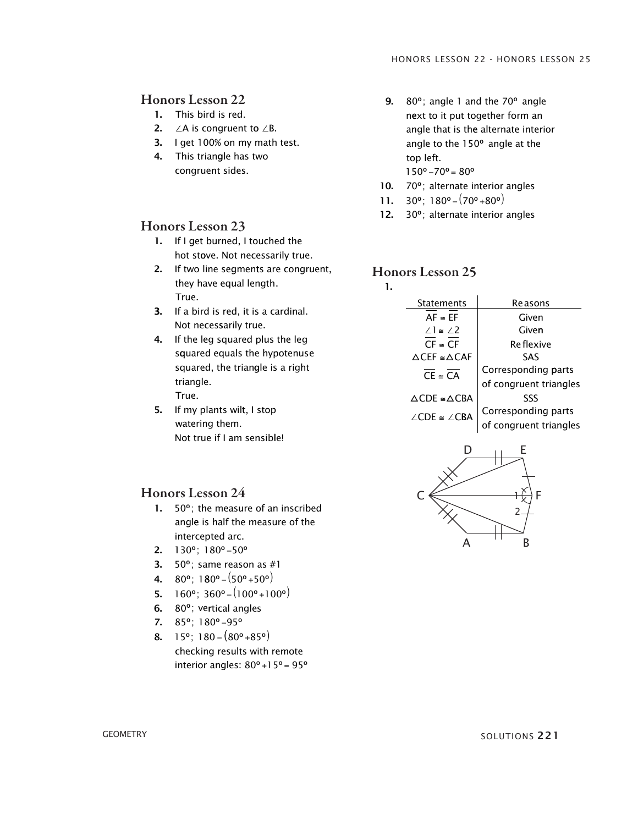- 1. This bird is red.
- 2.  $∠A$  is congruent to  $∠B$ .
- 3. I get 100% on my math test.
- 4. This triangle has two congruent sides.

#### Honors Lesson 23

- 1. If I get burned, I touched the hot stove. Not necessarily true.
- 2. if two line segments are congruent, they have equal length. True.
- 3. If a bird is red, it is a cardinal. Not necessarily true.
- 4. If the leg squared plus the leg s quared equals the hypotenuse squared, the triangle is a right triangle. True.
	-
- 5. if my plants wilt, i stop watering them. Not true if I am sensible!

## Honors Lesson 24

- 1. 50º; the measure of an inscribed angle is half the measure of the intercepted arc.
- $2. \quad 130^\circ; 180^\circ 50^\circ$
- 50 º; same reason as #1 3.
- $4. \quad 80^{\circ}$ ; 180°  $(50^{\circ} + 50^{\circ})$
- 5.  $160^\circ$ ;  $360^\circ (100^\circ + 100^\circ)$
- 6.  $80^\circ$ ; vertical angles
- 7.  $85^\circ$ ; 180°–95°
- 8.  $15^{\circ}$ ; 180  $(80^{\circ} + 85^{\circ})$ checking results with remote interior angles: 80°+15°= 95°
- 9.  $80^\circ$ ; angle 1 and the  $70^\circ$  angle n ext to it put together form an angle that is the alternate interior angle to the 150º angle at the top left.
	- $150^{\circ} 70^{\circ} = 80^{\circ}$
- 10. 70°; alternate interior angles
- 11.  $30^\circ$ ;  $180^\circ (70^\circ + 80^\circ)$
- 12. 30°; alternate interior angles

#### Honors Lesson 25

1.

![](_page_14_Figure_28.jpeg)

![](_page_14_Figure_29.jpeg)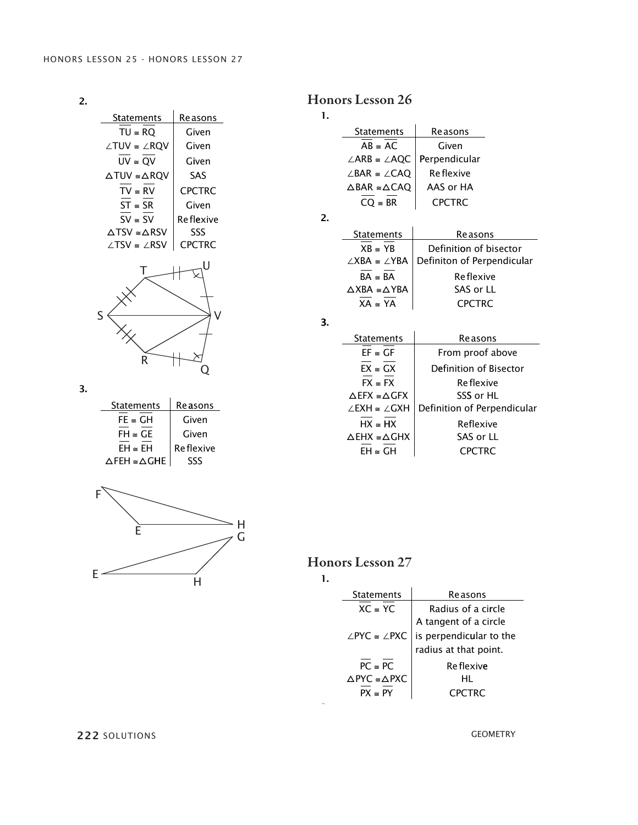2.

| Statements                          | Reasons       |
|-------------------------------------|---------------|
| $TU \cong RQ$                       | Given         |
| ∠TUV ≅ ∠RQV                         | Given         |
| $UV \cong QV$                       | Given         |
| $\triangle TUV \cong \triangle RQV$ | SAS           |
| $TV \cong RV$                       | <b>CPCTRC</b> |
| $ST \cong SR$                       | Given         |
| $SV \cong SV$                       | Re flexive    |
| $\triangle$ TSV ≅ $\triangle$ RSV   | SSS           |
| ∠TSV ≅ ∠RSV                         | <b>CPCTRC</b> |
| ς<br>R                              | U             |

# Honors Lesson 26

| <b>Statements</b>                       | Reasons          |  |
|-----------------------------------------|------------------|--|
| $AB \cong AC$                           | Given            |  |
| $\angle ARB \cong \angle AQC$           | Perpendicular    |  |
| $\angle$ BAR $\cong \angle$ CAQ         | <b>Reflexive</b> |  |
| $\triangle$ BAR $\cong$ $\triangle$ CAQ | AAS or HA        |  |
| $CO \cong BR$                           | <b>CPCTRC</b>    |  |
|                                         |                  |  |

2. 2.

1. 1.

| <b>Statements</b>                       | Reasons                    |
|-----------------------------------------|----------------------------|
| $XB \cong YB$                           | Definition of bisector     |
| $\angle$ XBA $\cong \angle$ YBA         | Definiton of Perpendicular |
| $BA \cong BA$                           | Re flexive                 |
| $\triangle$ XBA $\cong$ $\triangle$ YBA | SAS or LL                  |
| $XA \cong YA$                           | <b>CPCTRC</b>              |
|                                         |                            |

3. 3.

| <b>Statements</b>                      | <b>Reasons</b>              |
|----------------------------------------|-----------------------------|
| $EF \cong GF$                          | From proof above            |
| $FX \cong GX$                          | Definition of Bisector      |
| $FX \approx FX$                        | Re flexive                  |
| $\triangle$ EFX $\cong \triangle GFX$  | SSS or HL                   |
| $\angle$ FXH $\approx$ $\angle$ GXH    | Definition of Perpendicular |
| $HX \cong HX$                          | Reflexive                   |
| $\triangle$ EHX $\simeq \triangle$ GHX | SAS or LL                   |
| $FH \cong GH$                          | <b>CPCTRC</b>               |

3.

| <b>Statements</b>                     | <b>Reasons</b>   |
|---------------------------------------|------------------|
| $FE \cong GH$                         | Given            |
| $FH \cong GE$                         | Given            |
| $\mathsf{FH} \cong \mathsf{FH}$       | <b>Reflexive</b> |
| $\triangle$ FEH $\cong \triangle$ GHE | SSS              |

 $R$   $\mathbb{F}^{\omega}$ r

 $\sim$ 

![](_page_15_Figure_12.jpeg)

Honors Lesson 27

|--|

| Reasons                 |
|-------------------------|
| Radius of a circle      |
| A tangent of a circle   |
| is perpendicular to the |
| radius at that point.   |
| Re flexive              |
| нı                      |
| CPCTRC                  |
|                         |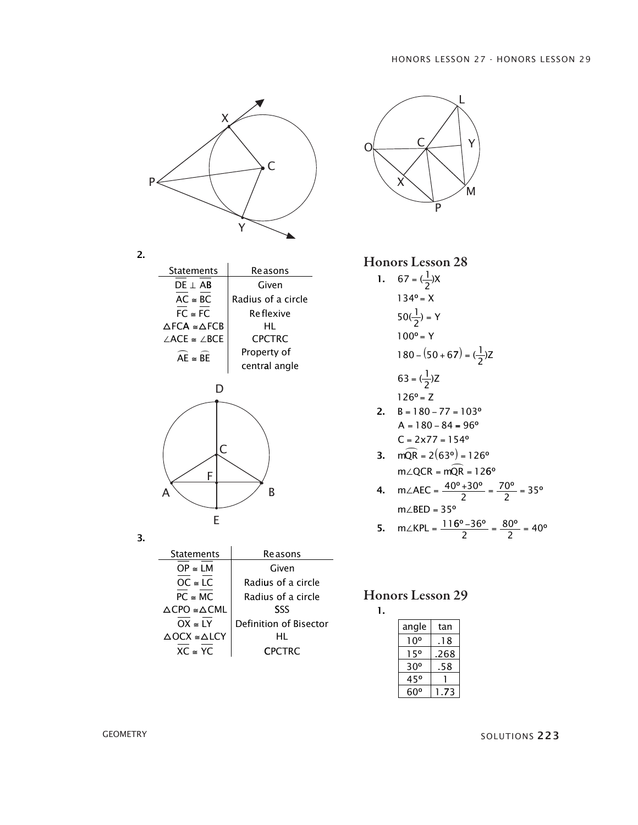![](_page_16_Figure_1.jpeg)

| <b>Statements</b>                     | Reasons            |
|---------------------------------------|--------------------|
| $DE \perp AB$                         | Given              |
| $AC \cong BC$                         | Radius of a circle |
| $FC \cong FC$                         | Re flexive         |
| $\triangle$ FCA $\cong \triangle$ FCR | HL                 |
| $\angle$ ACE $\cong \angle$ BCE       | <b>CPCTRC</b>      |
| $AE \cong BE$                         | Property of        |
|                                       | central angle      |
|                                       |                    |

2.

![](_page_16_Figure_3.jpeg)

| Statements                            | Re asons               |
|---------------------------------------|------------------------|
| $OP \cong LM$                         | Given                  |
| $OC \cong LC$                         | Radius of a circle     |
| $PC \cong MC$                         | Radius of a circle     |
| $\triangle$ CPO $\cong \triangle$ CML | SSS                    |
| $OX \cong IY$                         | Definition of Bisector |
| $\triangle$ OCX $\cong \triangle$ LCY | HL                     |
| $XC \cong YC$                         | <b>CPCTRC</b>          |

![](_page_16_Figure_5.jpeg)

Honors Lesson 28

1.  $67 = (\frac{1}{2})$ 134  $50(\frac{1}{2})$ 100  $180 - (50 + 67) = (\frac{1}{2})Z$ = = = =  $\left(\frac{1}{n}\right)$ º  $\left(\frac{1}{2}\right)$ º X X y y  $63 = (\frac{1}{2})$ 126 =  $\left(\frac{1}{n}\right)$ º Z Z

$$
126^{\circ} = Z
$$
  
2. B = 180 - 77 = 103°  
A = 180 - 84 = 96°  
C = 2x77 = 154°

 $= 2(63°) =$  $\angle QCR = mQR =$  $2(63°) = 126$ 12 °) = 126° mQr  $m \angle QCR = mQR$ **3.** mQR  $\widehat{\mathsf{QR}} = 126^{\circ}$ 

4. m∠AEC = 
$$
\frac{40^{\circ} + 30^{\circ}}{2} = \frac{70^{\circ}}{2} = 35^{\circ}
$$
  
m∠BED = 35°

5. 
$$
m\angle KPL = \frac{116^{\circ} - 36^{\circ}}{2} = \frac{80^{\circ}}{2} = 40^{\circ}
$$

#### Honors Lesson 29 1.

| angle | tan  |
|-------|------|
| 1 O°  | 18   |
| 15°   | 268. |
| 30°   | 58   |
| 45°   |      |
| 60°   | 3    |

GEOMETRY SOLUTIONS 223

3.